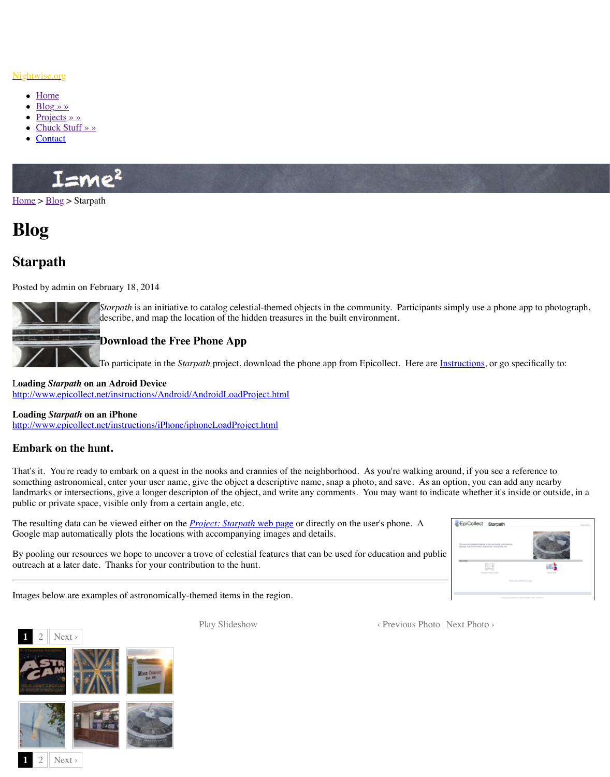

*Starpath* is an initiative to catalog celestial-themed objects in the community. Participants simply use a phone app to photograph, describe, and map the location of the hidden treasures in the built env

## **Download the Free Phone App**

To participate in the *Starpath* project, download the phone app from I

L**oading** *Starpath* **[on an Adroid Device](http://www.nightwise.org/)** http://[www.e](http://www.nightwise.org/)picollect.net/instructions/Android/AndroidLoadProject.html

## **Loading** *[Starp](http://www.nightwise.org/blog/)ath* **on an iPhone**

http://[www.epicoll](http://www.nightwise.org/projects/)ect.net/instructions/iPhone/iphoneLoadProject.html

## **Em[bark on](http://www.nightwise.org/contact/) the hunt.**

That's it. You're ready to embark on a quest in the nooks and crannies of the neighborhood. something astronomical, enter your user name, give the object a descriptive name, snap a ph landmarks or intersections, give a longer descripton of the object, and write any comments. [public](http://www.nightwise.org/) o[r priv](http://www.nightwise.org/blog/)ate space, visible only from a certain angle, etc.

The resulting data can be viewed either on the *Project: Starpath* web page or directly on the Google map automatically plots the locations with accompanying images and details.

By pooling our resources we hope to uncover a trove of celestial features that can be used for outreach at a later date. Thanks for your contribution to the hunt.

Images below are examples of astronomically-themed items in the region.



Play Slideshow